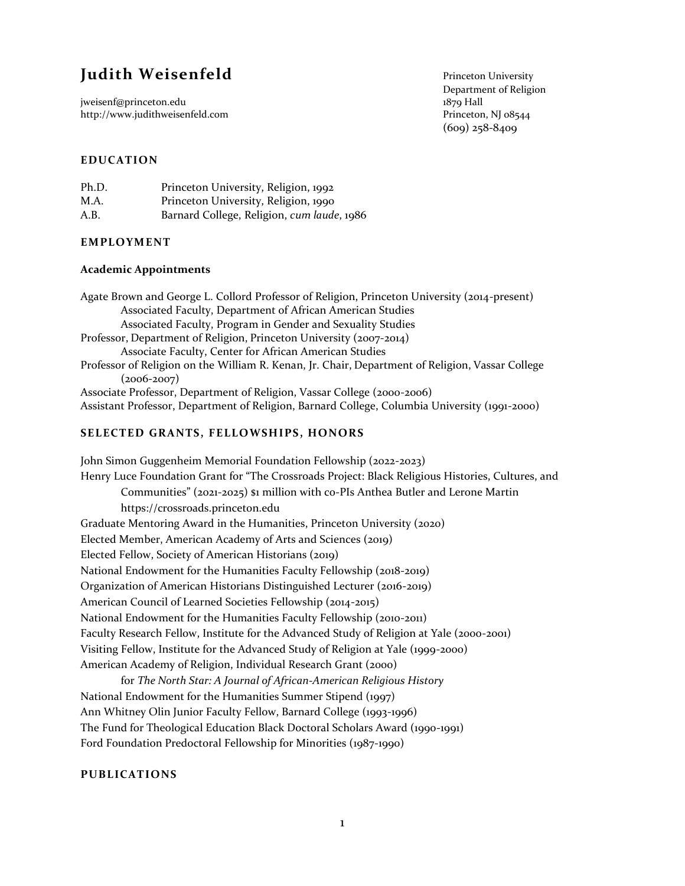# **Judith Weisenfeld** Princeton University

jweisenf@princeton.edu 1879 Hall 1879 Hall 1879 Hall 1879 Hall 1879 Hall 1879 Hall 1879 Hall 188544 http://www.judithweisenfeld.com

Department of Religion (609) 258-8409

## **EDUCATION**

| Ph.D. | Princeton University, Religion, 1992       |
|-------|--------------------------------------------|
| M.A.  | Princeton University, Religion, 1990       |
| A.B.  | Barnard College, Religion, cum laude, 1986 |

#### **EMPLOYMENT**

#### **Academic Appointments**

Agate Brown and George L. Collord Professor of Religion, Princeton University (2014-present) Associated Faculty, Department of African American Studies Associated Faculty, Program in Gender and Sexuality Studies Professor, Department of Religion, Princeton University (2007-2014) Associate Faculty, Center for African American Studies Professor of Religion on the William R. Kenan, Jr. Chair, Department of Religion, Vassar College  $(2006 - 2007)$ Associate Professor, Department of Religion, Vassar College (2000-2006) Assistant Professor, Department of Religion, Barnard College, Columbia University (1991-2000)

## **SELECTED GRANTS, FELLOWSHIPS, HONORS**

John Simon Guggenheim Memorial Foundation Fellowship (2022-2023) Henry Luce Foundation Grant for "The Crossroads Project: Black Religious Histories, Cultures, and Communities" (2021-2025) \$1 million with co-PIs Anthea Butler and Lerone Martin https://crossroads.princeton.edu Graduate Mentoring Award in the Humanities, Princeton University (2020) Elected Member, American Academy of Arts and Sciences (2019) Elected Fellow, Society of American Historians (2019) National Endowment for the Humanities Faculty Fellowship (2018-2019) Organization of American Historians Distinguished Lecturer (2016-2019) American Council of Learned Societies Fellowship (2014-2015) National Endowment for the Humanities Faculty Fellowship (2010-2011) Faculty Research Fellow, Institute for the Advanced Study of Religion at Yale (2000-2001) Visiting Fellow, Institute for the Advanced Study of Religion at Yale (1999-2000) American Academy of Religion, Individual Research Grant (2000)

for *The North Star: A Journal of African-American Religious History* National Endowment for the Humanities Summer Stipend (1997) Ann Whitney Olin Junior Faculty Fellow, Barnard College (1993-1996) The Fund for Theological Education Black Doctoral Scholars Award (1990-1991) Ford Foundation Predoctoral Fellowship for Minorities (1987-1990)

#### **PUBLICATIONS**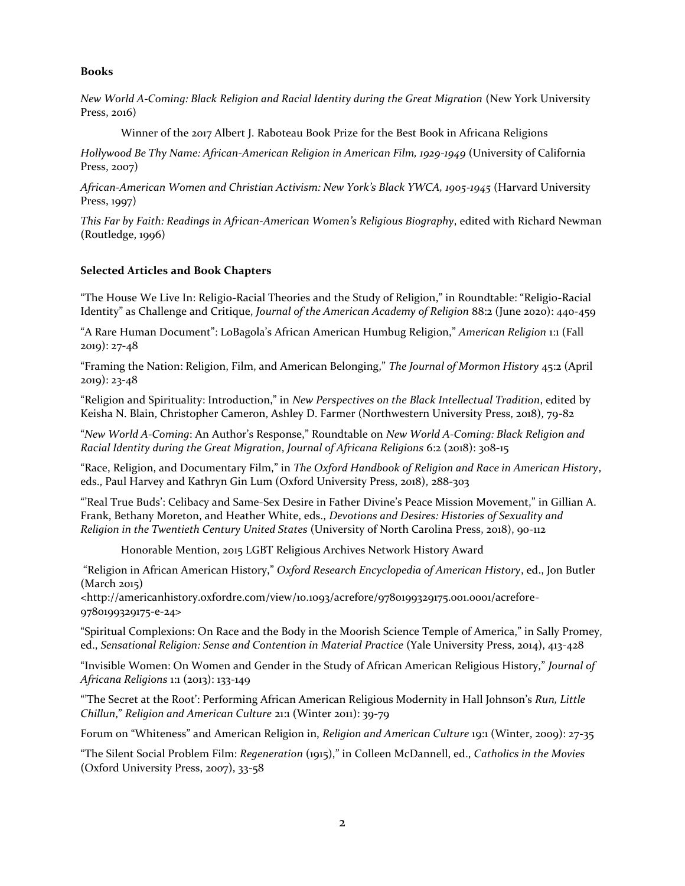## **Books**

*New World A-Coming: Black Religion and Racial Identity during the Great Migration* (New York University Press, 2016)

Winner of the 2017 Albert J. Raboteau Book Prize for the Best Book in Africana Religions

*Hollywood Be Thy Name: African-American Religion in American Film, 1929-1949* (University of California Press, 2007)

*African-American Women and Christian Activism: New York's Black YWCA, 1905-1945* (Harvard University Press, 1997)

*This Far by Faith: Readings in African-American Women's Religious Biography*, edited with Richard Newman (Routledge, 1996)

## **Selected Articles and Book Chapters**

"The House We Live In: Religio-Racial Theories and the Study of Religion," in Roundtable: "Religio-Racial Identity" as Challenge and Critique, *Journal of the American Academy of Religion* 88:2 (June 2020): 440-459

"A Rare Human Document": LoBagola's African American Humbug Religion," *American Religion* 1:1 (Fall 2019): 27-48

"Framing the Nation: Religion, Film, and American Belonging," *The Journal of Mormon History* 45:2 (April 2019): 23-48

"Religion and Spirituality: Introduction," in *New Perspectives on the Black Intellectual Tradition*, edited by Keisha N. Blain, Christopher Cameron, Ashley D. Farmer (Northwestern University Press, 2018), 79-82

"*New World A-Coming*: An Author's Response," Roundtable on *New World A-Coming: Black Religion and Racial Identity during the Great Migration*, *Journal of Africana Religions* 6:2 (2018): 308-15

"Race, Religion, and Documentary Film," in *The Oxford Handbook of Religion and Race in American History*, eds., Paul Harvey and Kathryn Gin Lum (Oxford University Press, 2018), 288-303

"'Real True Buds': Celibacy and Same-Sex Desire in Father Divine's Peace Mission Movement," in Gillian A. Frank, Bethany Moreton, and Heather White, eds., *Devotions and Desires: Histories of Sexuality and Religion in the Twentieth Century United States* (University of North Carolina Press, 2018), 90-112

Honorable Mention, 2015 LGBT Religious Archives Network History Award

"Religion in African American History," *Oxford Research Encyclopedia of American History*, ed., Jon Butler (March 2015)

<http://americanhistory.oxfordre.com/view/10.1093/acrefore/9780199329175.001.0001/acrefore-9780199329175-e-24>

"Spiritual Complexions: On Race and the Body in the Moorish Science Temple of America," in Sally Promey, ed., *Sensational Religion: Sense and Contention in Material Practice* (Yale University Press, 2014), 413-428

"Invisible Women: On Women and Gender in the Study of African American Religious History," *Journal of Africana Religions* 1:1 (2013): 133-149

"'The Secret at the Root': Performing African American Religious Modernity in Hall Johnson's *Run, Little Chillun*," *Religion and American Culture* 21:1 (Winter 2011): 39-79

Forum on "Whiteness" and American Religion in, *Religion and American Culture* 19:1 (Winter, 2009): 27-35

"The Silent Social Problem Film: *Regeneration* (1915)," in Colleen McDannell, ed., *Catholics in the Movies* (Oxford University Press, 2007), 33-58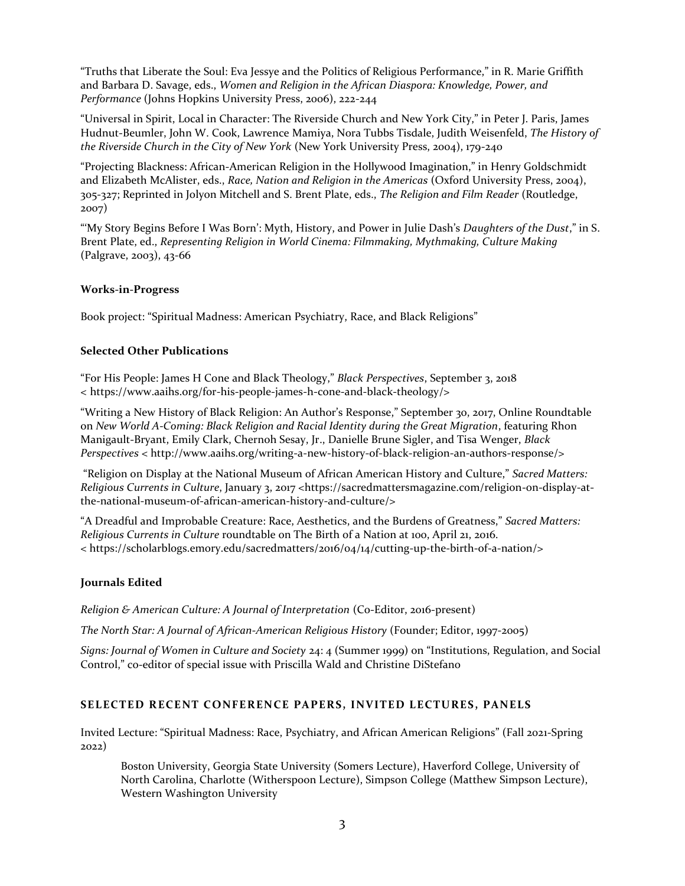"Truths that Liberate the Soul: Eva Jessye and the Politics of Religious Performance," in R. Marie Griffith and Barbara D. Savage, eds., *Women and Religion in the African Diaspora: Knowledge, Power, and Performance* (Johns Hopkins University Press, 2006), 222-244

"Universal in Spirit, Local in Character: The Riverside Church and New York City," in Peter J. Paris, James Hudnut-Beumler, John W. Cook, Lawrence Mamiya, Nora Tubbs Tisdale, Judith Weisenfeld, *The History of the Riverside Church in the City of New York* (New York University Press, 2004), 179-240

"Projecting Blackness: African-American Religion in the Hollywood Imagination," in Henry Goldschmidt and Elizabeth McAlister, eds., *Race, Nation and Religion in the Americas* (Oxford University Press, 2004), 305-327; Reprinted in Jolyon Mitchell and S. Brent Plate, eds., *The Religion and Film Reader* (Routledge, 2007)

"'My Story Begins Before I Was Born': Myth, History, and Power in Julie Dash's *Daughters of the Dust*," in S. Brent Plate, ed., *Representing Religion in World Cinema: Filmmaking, Mythmaking, Culture Making* (Palgrave, 2003), 43-66

# **Works-in-Progress**

Book project: "Spiritual Madness: American Psychiatry, Race, and Black Religions"

## **Selected Other Publications**

"For His People: James H Cone and Black Theology," *Black Perspectives*, September 3, 2018 < https://www.aaihs.org/for-his-people-james-h-cone-and-black-theology/>

"Writing a New History of Black Religion: An Author's Response," September 30, 2017, Online Roundtable on *New World A-Coming: Black Religion and Racial Identity during the Great Migration*, featuring Rhon Manigault-Bryant, Emily Clark, Chernoh Sesay, Jr., Danielle Brune Sigler, and Tisa Wenger, *Black Perspectives* < http://www.aaihs.org/writing-a-new-history-of-black-religion-an-authors-response/>

"Religion on Display at the National Museum of African American History and Culture," *Sacred Matters: Religious Currents in Culture*, January 3, 2017 <https://sacredmattersmagazine.com/religion-on-display-atthe-national-museum-of-african-american-history-and-culture/>

"A Dreadful and Improbable Creature: Race, Aesthetics, and the Burdens of Greatness," *Sacred Matters: Religious Currents in Culture* roundtable on The Birth of a Nation at 100, April 21, 2016. < https://scholarblogs.emory.edu/sacredmatters/2016/04/14/cutting-up-the-birth-of-a-nation/>

#### **Journals Edited**

*Religion & American Culture: A Journal of Interpretation* (Co-Editor, 2016-present)

*The North Star: A Journal of African-American Religious History* (Founder; Editor, 1997-2005)

*Signs: Journal of Women in Culture and Society* 24: 4 (Summer 1999) on "Institutions, Regulation, and Social Control," co-editor of special issue with Priscilla Wald and Christine DiStefano

# **SELECTED RECENT CONFERENCE PAPERS, INVITED LECTURES, PANELS**

Invited Lecture: "Spiritual Madness: Race, Psychiatry, and African American Religions" (Fall 2021-Spring 2022)

Boston University, Georgia State University (Somers Lecture), Haverford College, University of North Carolina, Charlotte (Witherspoon Lecture), Simpson College (Matthew Simpson Lecture), Western Washington University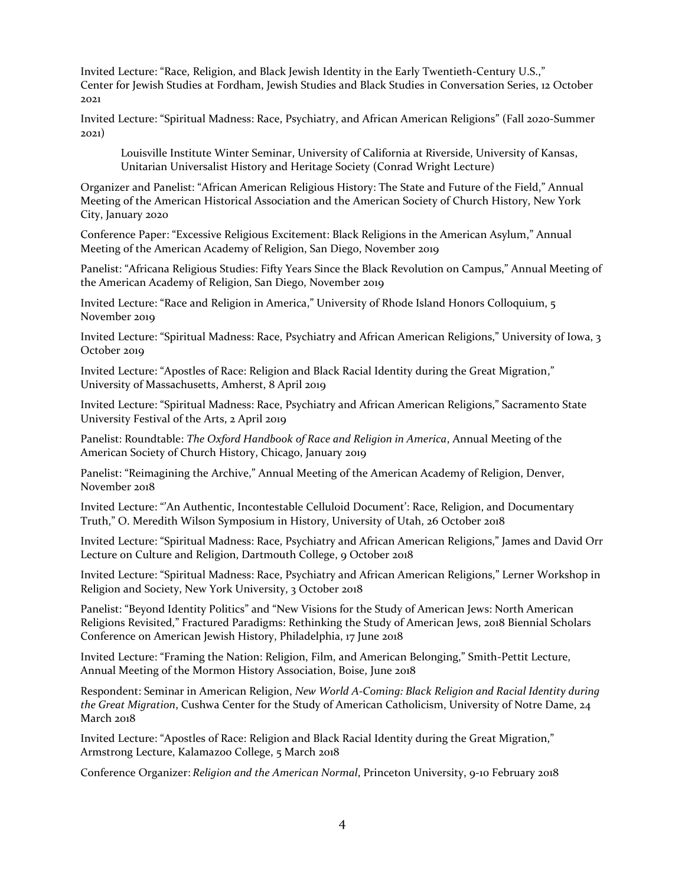Invited Lecture: "Race, Religion, and Black Jewish Identity in the Early Twentieth-Century U.S.," Center for Jewish Studies at Fordham, Jewish Studies and Black Studies in Conversation Series, 12 October 2021

Invited Lecture: "Spiritual Madness: Race, Psychiatry, and African American Religions" (Fall 2020-Summer 2021)

Louisville Institute Winter Seminar, University of California at Riverside, University of Kansas, Unitarian Universalist History and Heritage Society (Conrad Wright Lecture)

Organizer and Panelist: "African American Religious History: The State and Future of the Field," Annual Meeting of the American Historical Association and the American Society of Church History, New York City, January 2020

Conference Paper: "Excessive Religious Excitement: Black Religions in the American Asylum," Annual Meeting of the American Academy of Religion, San Diego, November 2019

Panelist: "Africana Religious Studies: Fifty Years Since the Black Revolution on Campus," Annual Meeting of the American Academy of Religion, San Diego, November 2019

Invited Lecture: "Race and Religion in America," University of Rhode Island Honors Colloquium, 5 November 2019

Invited Lecture: "Spiritual Madness: Race, Psychiatry and African American Religions," University of Iowa, 3 October 2019

Invited Lecture: "Apostles of Race: Religion and Black Racial Identity during the Great Migration," University of Massachusetts, Amherst, 8 April 2019

Invited Lecture: "Spiritual Madness: Race, Psychiatry and African American Religions," Sacramento State University Festival of the Arts, 2 April 2019

Panelist: Roundtable: *The Oxford Handbook of Race and Religion in America*, Annual Meeting of the American Society of Church History, Chicago, January 2019

Panelist: "Reimagining the Archive," Annual Meeting of the American Academy of Religion, Denver, November 2018

Invited Lecture: "'An Authentic, Incontestable Celluloid Document': Race, Religion, and Documentary Truth," O. Meredith Wilson Symposium in History, University of Utah, 26 October 2018

Invited Lecture: "Spiritual Madness: Race, Psychiatry and African American Religions," James and David Orr Lecture on Culture and Religion, Dartmouth College, 9 October 2018

Invited Lecture: "Spiritual Madness: Race, Psychiatry and African American Religions," Lerner Workshop in Religion and Society, New York University, 3 October 2018

Panelist: "Beyond Identity Politics" and "New Visions for the Study of American Jews: North American Religions Revisited," Fractured Paradigms: Rethinking the Study of American Jews, 2018 Biennial Scholars Conference on American Jewish History, Philadelphia, 17 June 2018

Invited Lecture: "Framing the Nation: Religion, Film, and American Belonging," Smith-Pettit Lecture, Annual Meeting of the Mormon History Association, Boise, June 2018

Respondent: Seminar in American Religion, *New World A-Coming: Black Religion and Racial Identity during the Great Migration*, Cushwa Center for the Study of American Catholicism, University of Notre Dame, 24 March 2018

Invited Lecture: "Apostles of Race: Religion and Black Racial Identity during the Great Migration," Armstrong Lecture, Kalamazoo College, 5 March 2018

Conference Organizer: *Religion and the American Normal*, Princeton University, 9-10 February 2018